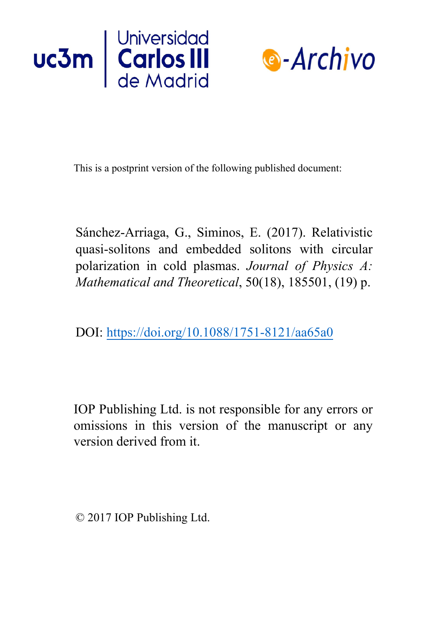



This is a postprint version of the following published document:

Sánchez-Arriaga, G., Siminos, E. (2017). Relativistic quasi-solitons and embedded solitons with circular polarization in cold plasmas. *Journal of Physics A: Mathematical and Theoretical*, 50(18), 185501, (19) p.

DOI: <https://doi.org/10.1088/1751-8121/aa65a0>

IOP Publishing Ltd. is not responsible for any errors or omissions in this version of the manuscript or any version derived from it.

© 2017 IOP Publishing Ltd.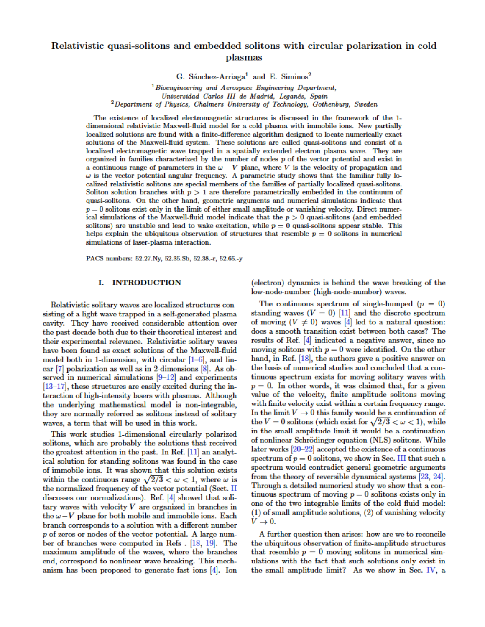# Relativistic quasi-solitons and embedded solitons with circular polarization in cold plasmas

G. Sánchez-Arriaga<sup>1</sup> and E. Siminos<sup>2</sup>

 $1$ Bioengineering and Aerospace Engineering Department, Universidad Carlos III de Madrid, Leganés, Spain  $12$ Department of Physics, Chalmers University of Technology, Gothenburg, Sweden

The existence of localized electromagnetic structures is discussed in the framework of the 1dimensional relativistic Maxwell-fluid model for a cold plasma with immobile ions. New partially localized solutions are found with a finite-difference algorithm designed to locate numerically exact solutions of the Maxwell-fluid system. These solutions are called quasi-solitons and consist of a localized electromagnetic wave trapped in a spatially extended electron plasma wave. They are organized in families characterized by the number of nodes  $p$  of the vector potential and exist in a continuous range of parameters in the  $\omega$  V plane, where V is the velocity of propagation and  $\omega$  is the vector potential angular frequency. A parametric study shows that the familiar fully localized relativistic solitons are special members of the families of partially localized quasi-solitons. Soliton solution branches with  $p > 1$  are therefore parametrically embedded in the continuum of quasi-solitons. On the other hand, geometric arguments and numerical simulations indicate that  $p=0$  solitons exist only in the limit of either small amplitude or vanishing velocity. Direct numerical simulations of the Maxwell-fluid model indicate that the  $p > 0$  quasi-solitons (and embedded solitons) are unstable and lead to wake excitation, while  $p=0$  quasi-solitons appear stable. This helps explain the ubiquitous observation of structures that resemble  $p=0$  solitons in numerical simulations of laser-plasma interaction.

PACS numbers: 52.27.Ny, 52.35.Sb, 52.38.-r, 52.65.-y

# I. INTRODUCTION

Relativistic solitary waves are localized structures consisting of a light wave trapped in a self-generated plasma cavity. They have received considerable attention over the past decade both due to their theoretical interest and their experimental relevance. Relativistic solitary waves have been found as exact solutions of the Maxwell-fluid model both in 1-dimension, with circular  $[1-6]$  $[1-6]$ , and linear  $[7]$  polarization as well as in 2-dimensions  $[8]$ . As observed in numerical simulations  $[9-12]$  and experiments  $[13–17]$  $[13–17]$ , these structures are easily excited during the interaction of high-intensity lasers with plasmas. Although the underlying mathematical model is non-integrable, they are normally referred as solitons instead of solitary waves, a term that will be used in this work.

This work studies 1-dimensional circularly polarized solitons, which are probably the solutions that received the greatest attention in the past. In Ref.  $[11]$  an analytical solution for standing solitons was found in the case of immobile ions. It was shown that this solution exists within the continuous range  $\sqrt{2/3} < \omega < 1$ , where  $\omega$  is the normalized frequency of the vector potential (Sect. II discusses our normalizations). Ref.  $[4]$  showed that solitary waves with velocity  $V$  are organized in branches in the  $\omega-V$  plane for both mobile and immobile ions. Each branch corresponds to a solution with a different number  $p$  of zeros or nodes of the vector potential. A large num-ber of branches were computed in Refs. [\[18](#page-11-0), 19]. The maximum amplitude of the waves, where the branches end, correspond to nonlinear wave breaking. This mechanism has been proposed to generate fast ions  $[4]$ . Ion

(electron) dynamics is behind the wave breaking of the low-node-number (high-node-number) waves.

The continuous spectrum of single-humped  $(p=0)$ standing waves ( $V = 0$ ) [\[11\]](#page--1-8) and the discrete spectrum of moving ( $V \neq 0$ ) waves [\[4\]](#page--1-9) led to a natural question: does a smooth transition exist between both cases? The results of Ref. [\[4\]](#page--1-9) indicated a negative answer, since no moving solitons with  $p=0$  were identified. On the other hand, in Ref. [\[18\]](#page-11-0), the authors gave a positive answer on the basis of numerical studies and concluded that a continuous spectrum exists for moving solitary waves with  $p=0$ . In other words, it was claimed that, for a given value of the velocity, finite amplitude solitons moving with finite velocity exist within a certain frequency range. In the limit  $V \rightarrow 0$  this family would be a continuation of the V = 0 solitons (which exist for  $\sqrt{2/3} < \omega < 1$ ), while in the small amplitude limit it would be a continuation of nonlinear Schrödinger equation (NLS) solitons. While later works  $[20-22]$  accepted the existence of a continuous spectrum of  $p=0$  solitons, we show in Sec. III that such a spectrum would contradict general geometric arguments from the theory of reversible dynamical systems [23, 24]. Through a detailed numerical study we show that a continuous spectrum of moving  $p=0$  solitons exists only in one of the two integrable limits of the cold fluid model:  $(1)$  of small amplitude solutions,  $(2)$  of vanishing velocity  $V \rightarrow 0$ .

A further question then arises: how are we to reconcile the ubiquitous observation of finite-amplitude structures that resemble  $p=0$  moving solitons in numerical simulations with the fact that such solutions only exist in the small amplitude limit? As we show in Sec. IV, a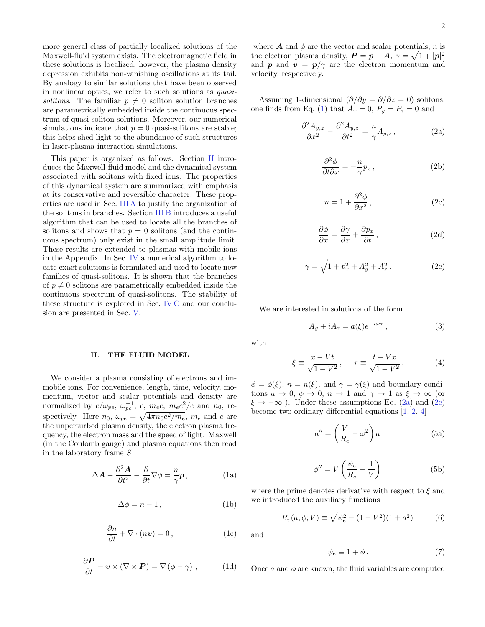more general class of partially localized solutions of the Maxwell-fluid system exists. The electromagnetic field in these solutions is localized; however, the plasma density depression exhibits non-vanishing oscillations at its tail. By analogy to similar solutions that have been observed in nonlinear optics, we refer to such solutions as quasisolitons. The familiar  $p \neq 0$  soliton solution branches are parametrically embedded inside the continuous spectrum of quasi-soliton solutions. Moreover, our numerical simulations indicate that  $p = 0$  quasi-solitons are stable; this helps shed light to the abundance of such structures in laser-plasma interaction simulations.

This paper is organized as follows. Section [II](#page-2-0) introduces the Maxwell-fluid model and the dynamical system associated with solitons with fixed ions. The properties of this dynamical system are summarized with emphasis at its conservative and reversible character. These properties are used in Sec. [III A](#page-3-1) to justify the organization of the solitons in branches. Section [III B](#page-4-0) introduces a useful algorithm that can be used to locate all the branches of solitons and shows that  $p = 0$  solitons (and the continuous spectrum) only exist in the small amplitude limit. These results are extended to plasmas with mobile ions in the Appendix. In Sec. [IV](#page-6-0) a numerical algorithm to locate exact solutions is formulated and used to locate new families of quasi-solitons. It is shown that the branches of  $p \neq 0$  solitons are parametrically embedded inside the continuous spectrum of quasi-solitons. The stability of these structure is explored in Sec. [IV C](#page-8-0) and our conclusion are presented in Sec. [V.](#page-9-0)

### <span id="page-2-0"></span>II. THE FLUID MODEL

We consider a plasma consisting of electrons and immobile ions. For convenience, length, time, velocity, momentum, vector and scalar potentials and density are normalized by  $c/\omega_{pe}$ ,  $\omega_{pe}^{-1}$ , c,  $m_ec$ ,  $m_ec^2/e$  and  $n_0$ , respectively. Here  $n_0$ ,  $\omega_{pe} = \sqrt{4\pi n_0 e^2/m_e}$ ,  $m_e$  and c are the unperturbed plasma density, the electron plasma frequency, the electron mass and the speed of light. Maxwell (in the Coulomb gauge) and plasma equations then read in the laboratory frame S

$$
\Delta A - \frac{\partial^2 A}{\partial t^2} - \frac{\partial}{\partial t} \nabla \phi = \frac{n}{\gamma} \mathbf{p},
$$
 (1a)

$$
\Delta \phi = n - 1, \tag{1b}
$$

$$
\frac{\partial n}{\partial t} + \nabla \cdot (n\boldsymbol{v}) = 0, \qquad (1c)
$$

<span id="page-2-1"></span>
$$
\frac{\partial \boldsymbol{P}}{\partial t} - \boldsymbol{v} \times (\nabla \times \boldsymbol{P}) = \nabla (\phi - \gamma) , \qquad (1d)
$$

where  $A$  and  $\phi$  are the vector and scalar potentials, n is the electron plasma density,  $P = p - A$ ,  $\gamma = \sqrt{1 + |p|^2}$ and **p** and  $v = p/\gamma$  are the electron momentum and velocity, respectively.

Assuming 1-dimensional  $(\partial/\partial y = \partial/\partial z = 0)$  solitons, one finds from Eq. [\(1\)](#page-2-1) that  $A_x = 0$ ,  $P_y = P_z = 0$  and

<span id="page-2-2"></span>
$$
\frac{\partial^2 A_{y,z}}{\partial x^2} - \frac{\partial^2 A_{y,z}}{\partial t^2} = -\frac{n}{\gamma} A_{y,z} , \qquad (2a)
$$

<span id="page-2-6"></span>
$$
\frac{\partial^2 \phi}{\partial t \partial x} = -\frac{n}{\gamma} p_x , \qquad (2b)
$$

<span id="page-2-8"></span>
$$
n = 1 + \frac{\partial^2 \phi}{\partial x^2},
$$
 (2c)

<span id="page-2-7"></span>
$$
\frac{\partial \phi}{\partial x} = \frac{\partial \gamma}{\partial x} + \frac{\partial p_x}{\partial t},\qquad(2d)
$$

<span id="page-2-3"></span>
$$
\gamma = \sqrt{1 + p_x^2 + A_y^2 + A_z^2}.
$$
 (2e)

We are interested in solutions of the form

<span id="page-2-9"></span>
$$
A_y + iA_z = a(\xi)e^{-i\omega\tau},\qquad(3)
$$

with

$$
\xi \equiv \frac{x - Vt}{\sqrt{1 - V^2}}, \quad \tau \equiv \frac{t - Vx}{\sqrt{1 - V^2}}, \tag{4}
$$

 $\phi = \phi(\xi), n = n(\xi)$ , and  $\gamma = \gamma(\xi)$  and boundary conditions  $a \to 0$ ,  $\phi \to 0$ ,  $n \to 1$  and  $\gamma \to 1$  as  $\xi \to \infty$  (or  $\xi \rightarrow -\infty$ ). Under these assumptions Eq. [\(2a\)](#page-2-2) and [\(2e\)](#page-2-3) become two ordinary differential equations [\[1,](#page--1-0) [2,](#page--1-10) [4\]](#page--1-9)

<span id="page-2-4"></span>
$$
a'' = \left(\frac{V}{R_e} - \omega^2\right)a\tag{5a}
$$

<span id="page-2-5"></span>
$$
\phi'' = V \left( \frac{\psi_e}{R_e} - \frac{1}{V} \right)
$$
 (5b)

where the prime denotes derivative with respect to  $\xi$  and we introduced the auxiliary functions

$$
R_e(a, \phi; V) \equiv \sqrt{\psi_e^2 - (1 - V^2)(1 + a^2)}
$$
 (6)

and

$$
\psi_e \equiv 1 + \phi \,. \tag{7}
$$

Once a and  $\phi$  are known, the fluid variables are computed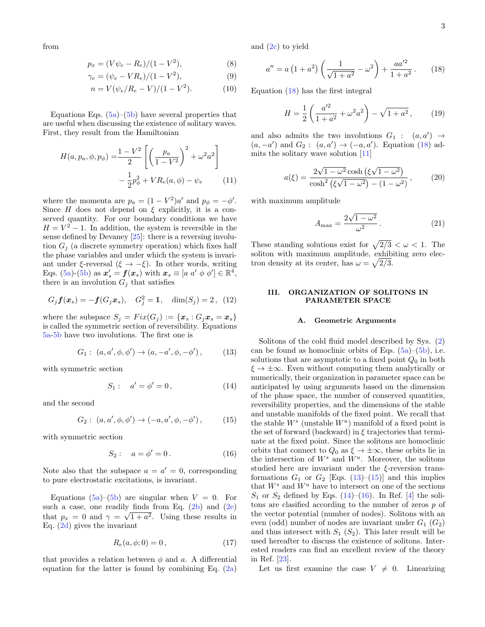from

$$
p_x = (V\psi_e - R_e)/(1 - V^2),\tag{8}
$$

$$
\gamma_e = (\psi_e - VR_e)/(1 - V^2),\tag{9}
$$

$$
n = V(\psi_e/R_e - V)/(1 - V^2). \tag{10}
$$

Equations Eqs.  $(5a)$ – $(5b)$  have several properties that are useful when discussing the existence of solitary waves. First, they result from the Hamiltonian

$$
H(a, p_a, \phi, p_{\phi}) = \frac{1 - V^2}{2} \left[ \left( \frac{p_a}{1 - V^2} \right)^2 + \omega^2 a^2 \right] - \frac{1}{2} p_{\phi}^2 + V R_e(a, \phi) - \psi_e \tag{11}
$$

where the momenta are  $p_a = (1 - V^2)a'$  and  $p_{\phi} = -\phi'$ . Since H does not depend on  $\xi$  explicitly, it is a conserved quantity. For our boundary conditions we have  $H = V^2 - 1$ . In addition, the system is reversible in the sense defined by Devaney [\[25\]](#page-11-6): there is a reversing involution  $G_i$  (a discrete symmetry operation) which fixes half the phase variables and under which the system is invariant under  $\xi$ -reversal  $(\xi \to -\xi)$ . In other words, writing Eqs. [\(5a\)](#page-2-4)-[\(5b\)](#page-2-5) as  $x'_s = f(x_s)$  with  $x_s \equiv [a \ a' \ \phi \ \phi'] \in \mathbb{R}^4$ , there is an involution  $G_j$  that satisfies

$$
G_j f(x_s) = -f(G_j x_s),
$$
  $G_j^2 = 1,$   $\dim(S_j) = 2,$  (12)

where the subspace  $S_j = Fix(G_j) := \{x_s : G_j x_s = x_s\}$ is called the symmetric section of reversibility. Equations [5a](#page-2-4)[-5b](#page-2-5) have two involutions. The first one is

<span id="page-3-3"></span>
$$
G_1: (a, a', \phi, \phi') \to (a, -a', \phi, -\phi'), \quad (13)
$$

with symmetric section

<span id="page-3-5"></span>
$$
S_1: a' = \phi' = 0,
$$
 (14)

and the second

<span id="page-3-4"></span>
$$
G_2: (a, a', \phi, \phi') \to (-a, a', \phi, -\phi'), \quad (15)
$$

with symmetric section

<span id="page-3-6"></span>
$$
S_2: \quad a = \phi' = 0. \tag{16}
$$

Note also that the subspace  $a = a' = 0$ , corresponding to pure electrostatic excitations, is invariant.

Equations  $(5a)$ – $(5b)$  are singular when  $V = 0$ . For such a case, one readily finds from Eq.  $(2b)$  and  $(2e)$ that  $p_x = 0$  and  $\gamma = \sqrt{1 + a^2}$ . Using these results in Eq. [\(2d\)](#page-2-7) gives the invariant

<span id="page-3-8"></span>
$$
R_e(a, \phi; 0) = 0, \t\t(17)
$$

that provides a relation between  $\phi$  and a. A differential equation for the latter is found by combining Eq.  $(2a)$ 

<span id="page-3-9"></span>and [\(2c\)](#page-2-8) to yield

<span id="page-3-2"></span>
$$
a'' = a \left( 1 + a^2 \right) \left( \frac{1}{\sqrt{1 + a^2}} - \omega^2 \right) + \frac{aa'^2}{1 + a^2} \,. \tag{18}
$$

<span id="page-3-10"></span>Equation [\(18\)](#page-3-2) has the first integral

$$
H = \frac{1}{2} \left( \frac{a'^2}{1 + a^2} + \omega^2 a^2 \right) - \sqrt{1 + a^2} \,, \tag{19}
$$

and also admits the two involutions  $G_1$  :  $(a, a') \rightarrow$  $(a, -a')$  and  $G_2: (a, a') \rightarrow (-a, a')$ . Equation [\(18\)](#page-3-2) admits the solitary wave solution [\[11\]](#page--1-8)

<span id="page-3-7"></span>
$$
a(\xi) = \frac{2\sqrt{1 - \omega^2} \cosh(\xi \sqrt{1 - \omega^2})}{\cosh^2(\xi \sqrt{1 - \omega^2}) - (1 - \omega^2)},
$$
 (20)

with maximum amplitude

$$
A_{\text{max}} = \frac{2\sqrt{1 - \omega^2}}{\omega^2}.
$$
 (21)

These standing solutions exist for  $\sqrt{2/3} < \omega < 1$ . The soliton with maximum amplitude, exhibiting zero electron density at its center, has  $\omega = \sqrt{2/3}$ .

# <span id="page-3-0"></span>III. ORGANIZATION OF SOLITONS IN PARAMETER SPACE

# <span id="page-3-1"></span>A. Geometric Arguments

Solitons of the cold fluid model described by Sys. [\(2\)](#page-2-3) can be found as homoclinic orbits of Eqs.  $(5a)$ – $(5b)$ , i.e. solutions that are asymptotic to a fixed point  $Q_0$  in both  $\xi \to \pm \infty$ . Even without computing them analytically or numerically, their organization in parameter space can be anticipated by using arguments based on the dimension of the phase space, the number of conserved quantities, reversibility properties, and the dimensions of the stable and unstable manifolds of the fixed point. We recall that the stable  $W^s$  (unstable  $W^u$ ) manifold of a fixed point is the set of forward (backward) in  $\xi$  trajectories that terminate at the fixed point. Since the solitons are homoclinic orbits that connect to  $Q_0$  as  $\xi \to \pm \infty$ , these orbits lie in the intersection of  $W^s$  and  $W^u$ . Moreover, the solitons studied here are invariant under the  $\xi$ -reversion transformations  $G_1$  or  $G_2$  [Eqs. [\(13\)](#page-3-3)–[\(15\)](#page-3-4)] and this implies that  $W^s$  and  $W^u$  have to intersect on one of the sections  $S_1$  or  $S_2$  defined by Eqs. [\(14\)](#page-3-5)–[\(16\)](#page-3-6). In Ref. [\[4\]](#page--1-9) the solitons are clasified according to the number of zeros p of the vector potential (number of nodes). Solitons with an even (odd) number of nodes are invariant under  $G_1$   $(G_2)$ and thus intersect with  $S_1$   $(S_2)$ . This later result will be used hereafter to discuss the existence of solitons. Interested readers can find an excellent review of the theory in Ref. [\[23\]](#page-11-4).

Let us first examine the case  $V \neq 0$ . Linearizing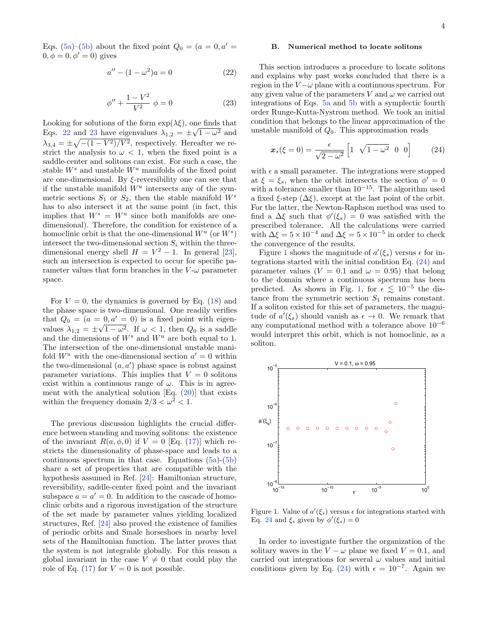Eqs. [\(5a\)](#page-2-4)–[\(5b\)](#page-2-5) about the fixed point  $Q_0 = (a = 0, a' =$  $0, \phi = 0, \phi' = 0$ ) gives

<span id="page-4-1"></span>
$$
a'' - (1 - \omega^2)a = 0
$$
 (22)

<span id="page-4-2"></span>
$$
\phi'' + \frac{1 - V^2}{V^2} \phi = 0 \tag{23}
$$

Looking for solutions of the form  $\exp(\lambda \xi)$ , one finds that Eqs. [22](#page-4-1) and [23](#page-4-2) have eigenvalues  $\lambda_{1,2} = \pm \sqrt{1 - \omega^2}$  and  $\lambda_{3,4} = \pm \sqrt{-(1 - V^2)/V^2}$ , respectively. Hereafter we restrict the analysis to  $\omega < 1$ , when the fixed point is a saddle-center and solitons can exist. For such a case, the stable  $W^s$  and unstable  $W^u$  manifolds of the fixed point are one-dimensional. By  $\xi$ -reversibility one can see that if the unstable manifold  $W^u$  intersects any of the symmetric sections  $S_1$  or  $S_2$ , then the stable manifold  $W^s$ has to also intersect it at the same point (in fact, this implies that  $W^s = W^u$  since both manifolds are onedimensional). Therefore, the condition for existence of a homoclinic orbit is that the one-dimensional  $W^u$  (or  $W^s$ ) intersect the two-dimensional section  $S_i$  within the threedimensional energy shell  $H = V^2 - 1$ . In general [\[23\]](#page-11-4), such an intersection is expected to occur for specific parameter values that form branches in the  $V$ - $\omega$  parameter space.

For  $V = 0$ , the dynamics is governed by Eq. [\(18\)](#page-3-2) and the phase space is two-dimensional. One readily verifies that  $Q_0 = (a = 0, a' = 0)$  is a fixed point with eigenvalues  $\lambda_{1,2} = \pm \sqrt{1 - \omega^2}$ . If  $\omega < 1$ , then  $Q_0$  is a saddle and the dimensions of  $W^s$  and  $W^u$  are both equal to 1. The intersection of the one-dimensional unstable manifold  $W^u$  with the one-dimensional section  $a' = 0$  within the two-dimensional  $(a, a')$  phase space is robust against parameter variations. This implies that  $V = 0$  solitons exist within a continuous range of  $\omega$ . This is in agreement with the analytical solution  $[Eq. (20)]$  $[Eq. (20)]$  $[Eq. (20)]$  that exists within the frequency domain  $2/3 < \omega^2 < 1$ .

The previous discussion highlights the crucial difference between standing and moving solitons: the existence of the invariant  $R(a, \phi, 0)$  if  $V = 0$  [Eq. [\(17\)](#page-3-8)] which restricts the dimensionality of phase-space and leads to a continuous spectrum in that case. Equations  $(5a)-(5b)$  $(5a)-(5b)$  $(5a)-(5b)$ share a set of properties that are compatible with the hypothesis assumed in Ref. [\[24\]](#page-11-5): Hamiltonian structure, reversibility, saddle-center fixed point and the invariant subspace  $a = a' = 0$ . In addition to the cascade of homoclinic orbits and a rigorous investigation of the structure of the set made by parameter values yielding localized structures, Ref. [\[24\]](#page-11-5) also proved the existence of families of periodic orbits and Smale horseshoes in nearby level sets of the Hamiltonian function. The latter proves that the system is not integrable globally. For this reason a global invariant in the case  $V \neq 0$  that could play the role of Eq. [\(17\)](#page-3-8) for  $V = 0$  is not possible.

# <span id="page-4-0"></span>B. Numerical method to locate solitons

This section introduces a procedure to locate solitons and explains why past works concluded that there is a region in the  $V - \omega$  plane with a continuous spectrum. For any given value of the parameters V and  $\omega$  we carried out integrations of Eqs. [5a](#page-2-4) and [5b](#page-2-5) with a symplectic fourth order Runge-Kutta-Nystrom method. We took an initial condition that belongs to the linear approximation of the unstable manifold of  $Q_0$ . This approximation reads

<span id="page-4-4"></span>
$$
\boldsymbol{x}_s(\xi=0) = \frac{\epsilon}{\sqrt{2-\omega^2}} \begin{bmatrix} 1 & \sqrt{1-\omega^2} & 0 & 0 \end{bmatrix} \tag{24}
$$

with  $\epsilon$  a small parameter. The integrations were stopped at  $\xi = \xi_s$ , when the orbit intersects the section  $\phi' = 0$ with a tolerance smaller than  $10^{-15}$ . The algorithm used a fixed  $\xi$ -step  $(\Delta \xi)$ , except at the last point of the orbit. For the latter, the Newton-Raphson method was used to find a  $\Delta \xi$  such that  $\phi'(\xi_s) = 0$  was satisfied with the prescribed tolerance. All the calculations were carried with  $\Delta \xi = 5 \times 10^{-4}$  and  $\Delta \xi = 5 \times 10^{-5}$  in order to check the convergence of the results.

Figure [1](#page-4-3) shows the magnitude of  $a'(\xi_s)$  versus  $\epsilon$  for integrations started with the initial condition Eq. [\(24\)](#page-4-4) and parameter values ( $V = 0.1$  and  $\omega = 0.95$ ) that belong to the domain where a continuous spectrum has been predicted. As shown in Fig. [1,](#page-4-3) for  $\epsilon \lesssim 10^{-5}$  the distance from the symmetric section  $S_1$  remains constant. If a soliton existed for this set of parameters, the magnitude of  $a'(\xi_s)$  should vanish as  $\epsilon \to 0$ . We remark that any computational method with a tolerance above  $10^{-6}$ would interpret this orbit, which is not homoclinic, as a soliton.



<span id="page-4-3"></span>Figure 1. Value of  $a'(\xi_s)$  versus  $\epsilon$  for integrations started with Eq. [24](#page-4-4) and  $\xi_s$  given by  $\phi'(\xi_s) = 0$ 

In order to investigate further the organization of the solitary waves in the  $V - \omega$  plane we fixed  $V = 0.1$ , and carried out integrations for several  $\omega$  values and initial conditions given by Eq. [\(24\)](#page-4-4) with  $\epsilon = 10^{-7}$ . Again we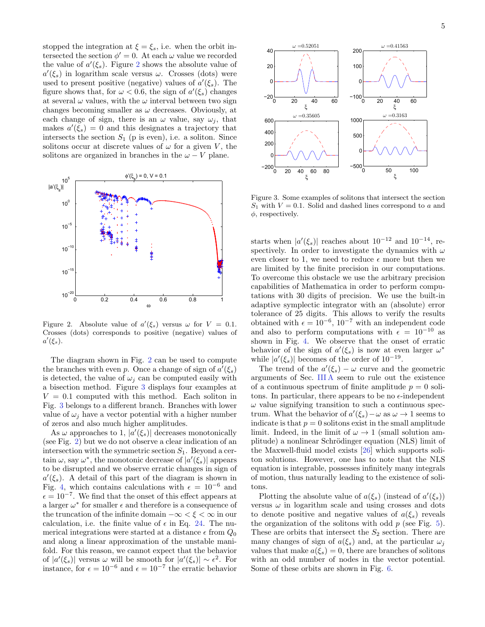stopped the integration at  $\xi = \xi_s$ , i.e. when the orbit intersected the section  $\phi' = 0$ . At each  $\omega$  value we recorded the value of  $a'(\xi_s)$ . Figure [2](#page-5-0) shows the absolute value of  $a'(\xi_s)$  in logarithm scale versus  $\omega$ . Crosses (dots) were used to present positive (negative) values of  $a'(\xi_s)$ . The figure shows that, for  $\omega < 0.6$ , the sign of  $a'(\xi_s)$  changes at several  $\omega$  values, with the  $\omega$  interval between two sign changes becoming smaller as  $\omega$  decreases. Obviously, at each change of sign, there is an  $\omega$  value, say  $\omega_i$ , that makes  $a'(\xi_s) = 0$  and this designates a trajectory that intersects the section  $S_1$  (p is even), i.e. a soliton. Since solitons occur at discrete values of  $\omega$  for a given V, the solitons are organized in branches in the  $\omega - V$  plane.



<span id="page-5-0"></span>Figure 2. Absolute value of  $a'(\xi_s)$  versus  $\omega$  for  $V = 0.1$ . Crosses (dots) corresponds to positive (negative) values of  $a'(\xi_s)$ .

The diagram shown in Fig. [2](#page-5-0) can be used to compute the branches with even p. Once a change of sign of  $a'(\xi_s)$ is detected, the value of  $\omega_i$  can be computed easily with a bisection method. Figure [3](#page-5-1) displays four examples at  $V = 0.1$  computed with this method. Each soliton in Fig. [3](#page-5-1) belongs to a different branch. Branches with lower value of  $\omega_i$  have a vector potential with a higher number of zeros and also much higher amplitudes.

As  $\omega$  approaches to 1,  $|a'(\xi_s)|$  decreases monotonically (see Fig. [2\)](#page-5-0) but we do not observe a clear indication of an intersection with the symmetric section  $S_1$ . Beyond a certain  $\omega$ , say  $\omega^*$ , the monotonic decrease of  $|a'(\xi_s)|$  appears to be disrupted and we observe erratic changes in sign of  $a'(\xi_s)$ . A detail of this part of the diagram is shown in Fig. [4,](#page-6-1) which contains calculations with  $\epsilon = 10^{-6}$  and  $\epsilon = 10^{-7}$ . We find that the onset of this effect appears at a larger  $\omega^*$  for smaller  $\epsilon$  and therefore is a consequence of the truncation of the infinite domain  $-\infty < \xi < \infty$  in our calculation, i.e. the finite value of  $\epsilon$  in Eq. [24.](#page-4-4) The numerical integrations were started at a distance  $\epsilon$  from  $Q_0$ and along a linear approximation of the unstable manifold. For this reason, we cannot expect that the behavior of  $|a'(\xi_s)|$  versus  $\omega$  will be smooth for  $|a'(\xi_s)| \sim \epsilon^2$ . For instance, for  $\epsilon = 10^{-6}$  and  $\epsilon = 10^{-7}$  the erratic behavior



<span id="page-5-1"></span>Figure 3. Some examples of solitons that intersect the section  $S_1$  with  $V = 0.1$ . Solid and dashed lines correspond to a and  $\phi$ , respectively.

starts when  $|a'(\xi_s)|$  reaches about  $10^{-12}$  and  $10^{-14}$ , respectively. In order to investigate the dynamics with  $\omega$ even closer to 1, we need to reduce  $\epsilon$  more but then we are limited by the finite precision in our computations. To overcome this obstacle we use the arbitrary precision capabilities of Mathematica in order to perform computations with 30 digits of precision. We use the built-in adaptive symplectic integrator with an (absolute) error tolerance of 25 digits. This allows to verify the results obtained with  $\epsilon = 10^{-6}$ ,  $10^{-7}$  with an independent code and also to perform computations with  $\epsilon = 10^{-10}$  as shown in Fig. [4.](#page-6-1) We observe that the onset of erratic behavior of the sign of  $a'(\xi_s)$  is now at even larger  $\omega^*$ while  $|a'(\xi_s)|$  becomes of the order of  $10^{-19}$ .

The trend of the  $a'(\xi_s) - \omega$  curve and the geometric arguments of Sec. [III A](#page-3-1) seem to rule out the existence of a continuous spectrum of finite amplitude  $p = 0$  solitons. In particular, there appears to be no  $\epsilon$ -independent  $\omega$  value signifying transition to such a continuous spectrum. What the behavior of  $a'(\xi_s) - \omega$  as  $\omega \to 1$  seems to indicate is that  $p = 0$  solitons exist in the small amplitude limit. Indeed, in the limit of  $\omega \to 1$  (small solution amplitude) a nonlinear Schrödinger equation (NLS) limit of the Maxwell-fluid model exists [\[26\]](#page-11-7) which supports soliton solutions. However, one has to note that the NLS equation is integrable, possesses infinitely many integrals of motion, thus naturally leading to the existence of solitons.

Plotting the absolute value of  $a(\xi_s)$  (instead of  $a'(\xi_s)$ ) versus  $\omega$  in logarithm scale and using crosses and dots to denote positive and negative values of  $a(\xi_s)$  reveals the organization of the solitons with odd  $p$  (see Fig. [5\)](#page-6-2). These are orbits that intersect the  $S_2$  section. There are many changes of sign of  $a(\xi_s)$  and, at the particular  $\omega_i$ values that make  $a(\xi_s) = 0$ , there are branches of solitons with an odd number of nodes in the vector potential. Some of these orbits are shown in Fig. [6.](#page-6-3)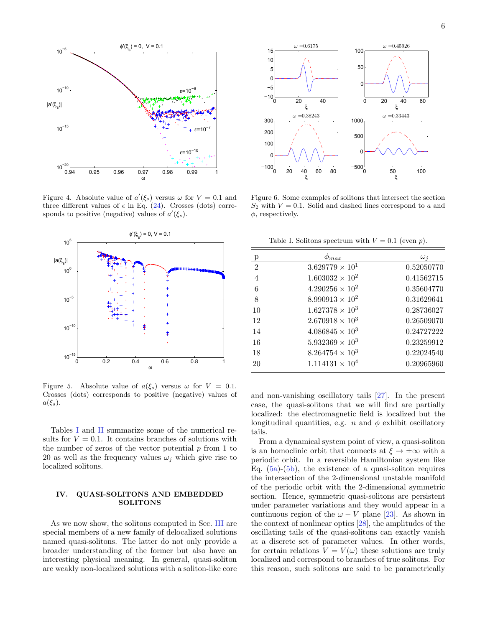

<span id="page-6-1"></span>Figure 4. Absolute value of  $a'(\xi_s)$  versus  $\omega$  for  $V = 0.1$  and three different values of  $\epsilon$  in Eq. [\(24\)](#page-4-4). Crosses (dots) corresponds to positive (negative) values of  $a'(\xi_s)$ .



<span id="page-6-2"></span>Figure 5. Absolute value of  $a(\xi_s)$  versus  $\omega$  for  $V = 0.1$ . Crosses (dots) corresponds to positive (negative) values of  $a(\xi_s)$ .

Tables [I](#page-6-4) and [II](#page-7-0) summarize some of the numerical results for  $V = 0.1$ . It contains branches of solutions with the number of zeros of the vector potential  $p$  from 1 to 20 as well as the frequency values  $\omega_i$  which give rise to localized solitons.

# <span id="page-6-0"></span>IV. QUASI-SOLITONS AND EMBEDDED SOLITONS

As we now show, the solitons computed in Sec. [III](#page-3-0) are special members of a new family of delocalized solutions named quasi-solitons. The latter do not only provide a broader understanding of the former but also have an interesting physical meaning. In general, quasi-soliton are weakly non-localized solutions with a soliton-like core



<span id="page-6-3"></span>Figure 6. Some examples of solitons that intersect the section  $S_2$  with  $V = 0.1$ . Solid and dashed lines correspond to a and  $\phi$ , respectively.

<span id="page-6-4"></span>Table I. Solitons spectrum with  $V = 0.1$  (even p).

| р                | max                      | $\omega_i$ |
|------------------|--------------------------|------------|
| $\boldsymbol{2}$ | $3.629779 \times 10^{1}$ | 0.52050770 |
| $\overline{4}$   | $1.603032 \times 10^{2}$ | 0.41562715 |
| 6                | $4.290256 \times 10^{2}$ | 0.35604770 |
| 8                | $8.990913 \times 10^{2}$ | 0.31629641 |
| 10               | $1.627378 \times 10^{3}$ | 0.28736027 |
| 12               | $2.670918 \times 10^3$   | 0.26509070 |
| 14               | $4.086845 \times 10^3$   | 0.24727222 |
| 16               | $5.932369 \times 10^3$   | 0.23259912 |
| 18               | $8.264754 \times 10^3$   | 0.22024540 |
| 20               | $1.114131 \times 10^{4}$ | 0.20965960 |

and non-vanishing oscillatory tails [\[27\]](#page-11-8). In the present case, the quasi-solitons that we will find are partially localized: the electromagnetic field is localized but the longitudinal quantities, e.g. n and  $\phi$  exhibit oscillatory tails.

From a dynamical system point of view, a quasi-soliton is an homoclinic orbit that connects at  $\xi \to \pm \infty$  with a periodic orbit. In a reversible Hamiltonian system like Eq.  $(5a)-(5b)$  $(5a)-(5b)$  $(5a)-(5b)$ , the existence of a quasi-soliton requires the intersection of the 2-dimensional unstable manifold of the periodic orbit with the 2-dimensional symmetric section. Hence, symmetric quasi-solitons are persistent under parameter variations and they would appear in a continuous region of the  $\omega - V$  plane [\[23\]](#page-11-4). As shown in the context of nonlinear optics [\[28\]](#page-11-9), the amplitudes of the oscillating tails of the quasi-solitons can exactly vanish at a discrete set of parameter values. In other words, for certain relations  $V = V(\omega)$  these solutions are truly localized and correspond to branches of true solitons. For this reason, such solitons are said to be parametrically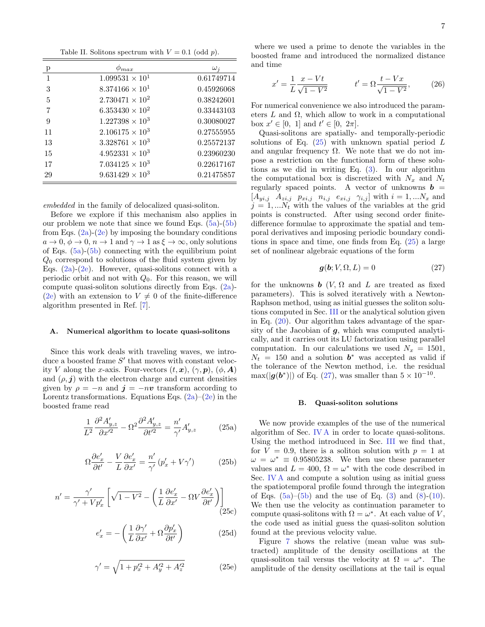<span id="page-7-0"></span>Table II. Solitons spectrum with  $V = 0.1$  (odd p).

| р            | $p_{max}$                | $\omega_i$ |
|--------------|--------------------------|------------|
| $\mathbf{1}$ | $1.099531 \times 10^{1}$ | 0.61749714 |
| 3            | $8.374166 \times 10^{1}$ | 0.45926068 |
| 5            | $2.730471 \times 10^{2}$ | 0.38242601 |
| 7            | $6.353430 \times 10^{2}$ | 0.33443103 |
| 9            | $1.227398 \times 10^3$   | 0.30080027 |
| 11           | $2.106175 \times 10^3$   | 0.27555955 |
| 13           | $3.328761 \times 10^3$   | 0.25572137 |
| 15           | $4.952331 \times 10^3$   | 0.23960230 |
| 17           | $7.034125 \times 10^3$   | 0.22617167 |
| 29           | $9.631429 \times 10^{3}$ | 0.21475857 |

embedded in the family of delocalized quasi-soliton.

Before we explore if this mechanism also applies in our problem we note that since we found Eqs.  $(5a)-(5b)$  $(5a)-(5b)$  $(5a)-(5b)$ from Eqs.  $(2a)-(2e)$  $(2a)-(2e)$  $(2a)-(2e)$  by imposing the boundary conditions  $a \to 0$ ,  $\phi \to 0$ ,  $n \to 1$  and  $\gamma \to 1$  as  $\xi \to \infty$ , only solutions of Eqs. [\(5a\)](#page-2-4)-[\(5b\)](#page-2-5) connecting with the equilibrium point  $Q_0$  correspond to solutions of the fluid system given by Eqs.  $(2a)-(2e)$  $(2a)-(2e)$  $(2a)-(2e)$ . However, quasi-solitons connect with a periodic orbit and not with  $Q_0$ . For this reason, we will compute quasi-soliton solutions directly from Eqs. [\(2a\)](#page-2-2)- [\(2e\)](#page-2-3) with an extension to  $V \neq 0$  of the finite-difference algorithm presented in Ref. [\[7\]](#page--1-2).

## <span id="page-7-3"></span>A. Numerical algorithm to locate quasi-solitons

Since this work deals with traveling waves, we introduce a boosted frame  $S'$  that moves with constant velocity V along the x-axis. Four-vectors  $(t, x)$ ,  $(\gamma, p)$ ,  $(\phi, A)$ and  $(\rho, \mathbf{j})$  with the electron charge and current densities given by  $\rho = -n$  and  $\mathbf{j} = -n\mathbf{v}$  transform according to Lorentz transformations. Equations Eqs.  $(2a)$ – $(2e)$  in the boosted frame read

$$
\frac{1}{L^2} \frac{\partial^2 A'_{y,z}}{\partial x'^2} - \Omega^2 \frac{\partial^2 A'_{y,z}}{\partial t'^2} = \frac{n'}{\gamma'} A'_{y,z}
$$
 (25a)

$$
\Omega \frac{\partial e'_x}{\partial t'} - \frac{V}{L} \frac{\partial e'_x}{\partial x'} = \frac{n'}{\gamma'} \left( p'_x + V\gamma' \right) \tag{25b}
$$

$$
n' = \frac{\gamma'}{\gamma' + Vp'_x} \left[ \sqrt{1 - V^2} - \left( \frac{1}{L} \frac{\partial e'_x}{\partial x'} - \Omega V \frac{\partial e'_x}{\partial t'} \right) \right] \tag{25c}
$$

$$
e'_x = -\left(\frac{1}{L}\frac{\partial \gamma'}{\partial x'} + \Omega \frac{\partial p'_x}{\partial t'}\right) \tag{25d}
$$

<span id="page-7-1"></span>
$$
\gamma' = \sqrt{1 + p_x'^2 + A_y'^2 + A_z'^2}
$$
 (25e)

$$
x' = \frac{1}{L} \frac{x - Vt}{\sqrt{1 - V^2}} \qquad t' = \Omega \frac{t - Vx}{\sqrt{1 - V^2}}, \qquad (26)
$$

For numerical convenience we also introduced the parameters  $L$  and  $\Omega$ , which allow to work in a computational box  $x' \in [0, 1]$  and  $t' \in [0, 2\pi]$ .

Quasi-solitons are spatially- and temporally-periodic solutions of Eq.  $(25)$  with unknown spatial period L and angular frequency  $\Omega$ . We note that we do not impose a restriction on the functional form of these solutions as we did in writing Eq. [\(3\)](#page-2-9). In our algorithm the computational box is discretized with  $N_x$  and  $N_t$ regularly spaced points. A vector of unknowns  $\mathbf{b} =$  $[A_{yi,j} \ A_{zi,j} \ p_{xi,j} \ n_{i,j} \ e_{xi,j} \ \gamma_{i,j}]$  with  $i = 1,...N_x$  and  $j = 1, \ldots N_t$  with the values of the variables at the grid points is constructed. After using second order finitedifference formulae to approximate the spatial and temporal derivatives and imposing periodic boundary conditions in space and time, one finds from Eq. [\(25\)](#page-7-1) a large set of nonlinear algebraic equations of the form

<span id="page-7-2"></span>
$$
g(b; V, \Omega, L) = 0 \tag{27}
$$

for the unknowns **b**  $(V, \Omega)$  and  $L$  are treated as fixed parameters). This is solved iteratively with a Newton-Raphson method, using as initial guesses the soliton solutions computed in Sec. [III](#page-3-0) or the analytical solution given in Eq. [\(20\)](#page-3-7). Our algorithm takes advantage of the sparsity of the Jacobian of  $g$ , which was computed analytically, and it carries out its LU factorization using parallel computation. In our calculations we used  $N_x = 1501$ ,  $N_t = 150$  and a solution  $b^*$  was accepted as valid if the tolerance of the Newton method, i.e. the residual  $\max(|g(b^*)|)$  of Eq. [\(27\)](#page-7-2), was smaller than  $5 \times 10^{-10}$ .

## B. Quasi-soliton solutions

We now provide examples of the use of the numerical algorithm of Sec. [IV A](#page-7-3) in order to locate quasi-solitons. Using the method introduced in Sec. [III](#page-3-0) we find that, for  $V = 0.9$ , there is a soliton solution with  $p = 1$  at  $\omega = \omega^* \equiv 0.95805238$ . We then use these parameter values and  $L = 400$ ,  $\Omega = \omega^*$  with the code described in Sec. [IV A](#page-7-3) and compute a solution using as initial guess the spatiotemporal profile found through the integration of Eqs.  $(5a)$ – $(5b)$  and the use of Eq.  $(3)$  and  $(8)$ – $(10)$ . We then use the velocity as continuation parameter to compute quasi-solitons with  $\Omega = \omega^*$ . At each value of V, the code used as initial guess the quasi-soliton solution found at the previous velocity value.

Figure [7](#page-8-1) shows the relative (mean value was subtracted) amplitude of the density oscillations at the quasi-soliton tail versus the velocity at  $\Omega = \omega^*$ . The amplitude of the density oscillations at the tail is equal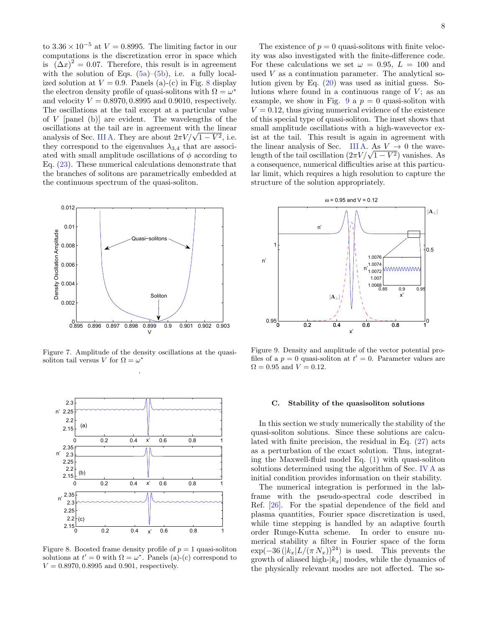to  $3.36 \times 10^{-5}$  at  $V = 0.8995$ . The limiting factor in our computations is the discretization error in space which is  $(\Delta x)^2 = 0.07$ . Therefore, this result is in agreement with the solution of Eqs.  $(5a)$ – $(5b)$ , i.e. a fully localized solution at  $V = 0.9$ . Panels (a)-(c) in Fig. [8](#page-8-2) display the electron density profile of quasi-solitons with  $\Omega = \omega^*$ and velocity  $V = 0.8970, 0.8995$  and 0.9010, respectively. The oscillations at the tail except at a particular value of  $V$  [panel (b)] are evident. The wavelengths of the oscillations at the tail are in agreement with the linear oscillations at the tail are in agreement with the linear<br>analysis of Sec. [III A.](#page-3-1) They are about  $2\pi V/\sqrt{1-V^2}$ , i.e. they correspond to the eigenvalues  $\lambda_{3,4}$  that are associated with small amplitude oscillations of  $\phi$  according to Eq. [\(23\)](#page-4-2). These numerical calculations demonstrate that the branches of solitons are parametrically embedded at the continuous spectrum of the quasi-soliton.



<span id="page-8-1"></span>Figure 7. Amplitude of the density oscillations at the quasisoliton tail versus V for  $\Omega = \omega^*$ .



<span id="page-8-2"></span>Figure 8. Boosted frame density profile of  $p = 1$  quasi-soliton solutions at  $t' = 0$  with  $\Omega = \omega^*$ . Panels (a)-(c) correspond to  $V = 0.8970, 0.8995$  and 0.901, respectively.

The existence of  $p = 0$  quasi-solitons with finite velocity was also investigated with the finite-difference code. For these calculations we set  $\omega = 0.95$ ,  $L = 100$  and used  $V$  as a continuation parameter. The analytical solution given by Eq. [\(20\)](#page-3-7) was used as initial guess. Solutions where found in a continuous range of  $V$ ; as an example, we show in Fig. [9](#page-8-3) a  $p = 0$  quasi-soliton with  $V = 0.12$ , thus giving numerical evidence of the existence of this special type of quasi-soliton. The inset shows that small amplitude oscillations with a high-wavevector exist at the tail. This result is again in agreement with the linear analysis of Sec. [III A.](#page-3-1) As  $V \rightarrow 0$  the wavethe linear analysis of Sec. III A. As  $V \to 0$  the wave-<br>length of the tail oscillation  $(2\pi V/\sqrt{1-V^2})$  vanishes. As a consequence, numerical difficulties arise at this particular limit, which requires a high resolution to capture the structure of the solution appropriately.



<span id="page-8-3"></span>Figure 9. Density and amplitude of the vector potential profiles of a  $p = 0$  quasi-soliton at  $t' = 0$ . Parameter values are  $\Omega = 0.95$  and  $V = 0.12$ .

#### <span id="page-8-0"></span>C. Stability of the quasisoliton solutions

In this section we study numerically the stability of the quasi-soliton solutions. Since these solutions are calculated with finite precision, the residual in Eq. [\(27\)](#page-7-2) acts as a perturbation of the exact solution. Thus, integrating the Maxwell-fluid model Eq. [\(1\)](#page-2-1) with quasi-soliton solutions determined using the algorithm of Sec. [IV A](#page-7-3) as initial condition provides information on their stability.

The numerical integration is performed in the labframe with the pseudo-spectral code described in Ref. [\[26\]](#page-11-7). For the spatial dependence of the field and plasma quantities, Fourier space discretization is used, while time stepping is handled by an adaptive fourth order Runge-Kutta scheme. In order to ensure numerical stability a filter in Fourier space of the form  $\exp(-36(|k_x|L/(\pi N_x))^{24})$  is used. This prevents the growth of aliased high- $|k_x|$  modes, while the dynamics of the physically relevant modes are not affected. The so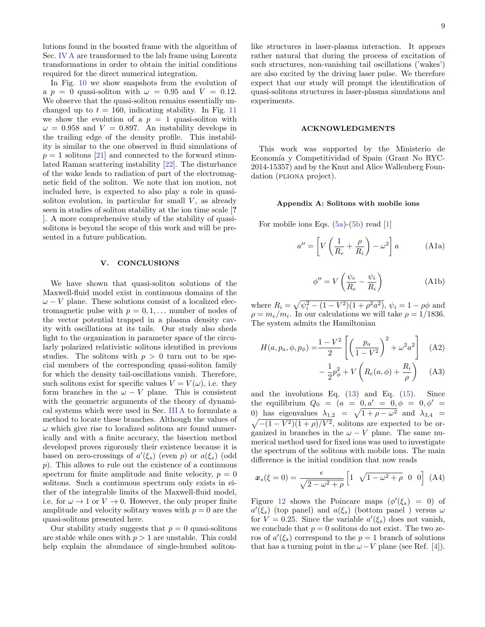lutions found in the boosted frame with the algorithm of Sec. [IV A](#page-7-3) are transformed to the lab frame using Lorentz transformations in order to obtain the initial conditions required for the direct numerical integration.

In Fig. [10](#page--1-11) we show snapshots from the evolution of a  $p = 0$  quasi-soliton with  $\omega = 0.95$  and  $V = 0.12$ . We observe that the quasi-soliton remains essentially unchanged up to  $t = 160$ , indicating stability. In Fig. [11](#page--1-12) we show the evolution of a  $p = 1$  quasi-soliton with  $\omega = 0.958$  and  $V = 0.897$ . An instability develops in the trailing edge of the density profile. This instability is similar to the one observed in fluid simulations of  $p = 1$  solitons [\[21\]](#page-11-10) and connected to the forward stimulated Raman scattering instability [\[22\]](#page-11-3). The disturbance of the wake leads to radiation of part of the electromagnetic field of the soliton. We note that ion motion, not included here, is expected to also play a role in quasisoliton evolution, in particular for small  $V$ , as already seen in studies of soliton stability at the ion time scale [? ]. A more comprehensive study of the stability of quasisolitons is beyond the scope of this work and will be presented in a future publication.

## <span id="page-9-0"></span>V. CONCLUSIONS

We have shown that quasi-soliton solutions of the Maxwell-fluid model exist in continuous domains of the  $\omega - V$  plane. These solutions consist of a localized electromagnetic pulse with  $p = 0, 1, \ldots$  number of nodes of the vector potential trapped in a plasma density cavity with oscillations at its tails. Our study also sheds light to the organization in parameter space of the circularly polarized relativistic solitons identified in previous studies. The solitons with  $p > 0$  turn out to be special members of the corresponding quasi-soliton family for which the density tail-oscillations vanish. Therefore, such solitons exist for specific values  $V = V(\omega)$ , i.e. they form branches in the  $\omega - V$  plane. This is consistent with the geometric arguments of the theory of dynamical systems which were used in Sec. [III A](#page-3-1) to formulate a method to locate these branches. Although the values of  $\omega$  which give rise to localized solitons are found numerically and with a finite accuracy, the bisection method developed proves rigorously their existence because it is based on zero-crossings of  $a'(\xi_s)$  (even p) or  $a(\xi_s)$  (odd  $p$ ). This allows to rule out the existence of a continuous spectrum for finite amplitude and finite velocity,  $p = 0$ solitons. Such a continuous spectrum only exists in either of the integrable limits of the Maxwell-fluid model, i.e. for  $\omega \to 1$  or  $V \to 0$ . However, the only proper finite amplitude and velocity solitary waves with  $p = 0$  are the quasi-solitons presented here.

Our stability study suggests that  $p = 0$  quasi-solitons are stable while ones with  $p > 1$  are unstable. This could help explain the abundance of single-humbed solitonlike structures in laser-plasma interaction. It appears rather natural that during the process of excitation of such structures, non-vanishing tail oscillations ('wakes') are also excited by the driving laser pulse. We therefore expect that our study will prompt the identification of quasi-solitons structures in laser-plasma simulations and experiments.

### ACKNOWLEDGMENTS

This work was supported by the Ministerio de Economía y Competitividad of Spain (Grant No RYC-2014-15357) and by the Knut and Alice Wallenberg Foundation (PLIONA project).

## Appendix A: Solitons with mobile ions

For mobile ions Eqs.  $(5a)$ - $(5b)$  read [\[1\]](#page--1-0)

$$
a'' = \left[ V \left( \frac{1}{R_e} + \frac{\rho}{R_i} \right) - \omega^2 \right] a \tag{A1a}
$$

$$
\phi'' = V\left(\frac{\psi_e}{R_e} - \frac{\psi_i}{R_i}\right) \tag{A1b}
$$

where  $R_i = \sqrt{\psi_i^2 - (1 - V^2)(1 + \rho^2 a^2)}$ ,  $\psi_i = 1 - \rho \phi$  and  $\rho = m_e/m_i$ . In our calculations we will take  $\rho = 1/1836$ . The system admits the Hamiltonian

$$
H(a, p_a, \phi, p_{\phi}) = \frac{1 - V^2}{2} \left[ \left( \frac{p_a}{1 - V^2} \right)^2 + \omega^2 a^2 \right] \quad \text{(A2)}
$$

$$
- \frac{1}{2} p_{\phi}^2 + V \left( R_e(a, \phi) + \frac{R_i}{\rho} \right) \quad \text{(A3)}
$$

and the involutions Eq.  $(13)$  and Eq.  $(15)$ . Since the equilibrium  $Q_0 = (a = 0, a' = 0, \phi = 0, \phi' = 0)$ 0) has eigenvalues  $\lambda_{1,2} = \sqrt{1 + \rho - \omega^2}$  and  $\lambda_{3,4} =$  $\sqrt{-(1-V^2)(1+\rho)/V^2}$ , solitons are expected to be organized in branches in the  $\omega - V$  plane. The same numerical method used for fixed ions was used to investigate the spectrum of the solitons with mobile ions. The main difference is the initial condition that now reads

$$
\boldsymbol{x}_s(\xi=0) = \frac{\epsilon}{\sqrt{2-\omega^2+\rho}} \begin{bmatrix} 1 & \sqrt{1-\omega^2+\rho} & 0 & 0 \end{bmatrix} \text{ (A4)}
$$

Figure [12](#page-11-11) shows the Poincare maps  $(\phi'(\xi_s) = 0)$  of  $a'(\xi_s)$  (top panel) and  $a(\xi_s)$  (bottom panel) versus  $\omega$ for  $V = 0.25$ . Since the variable  $a'(\xi_s)$  does not vanish, we conclude that  $p = 0$  solitons do not exist. The two zeros of  $a'(\xi_s)$  correspond to the  $p=1$  branch of solutions that has a turning point in the  $\omega - V$  plane (see Ref. [\[4\]](#page--1-9)).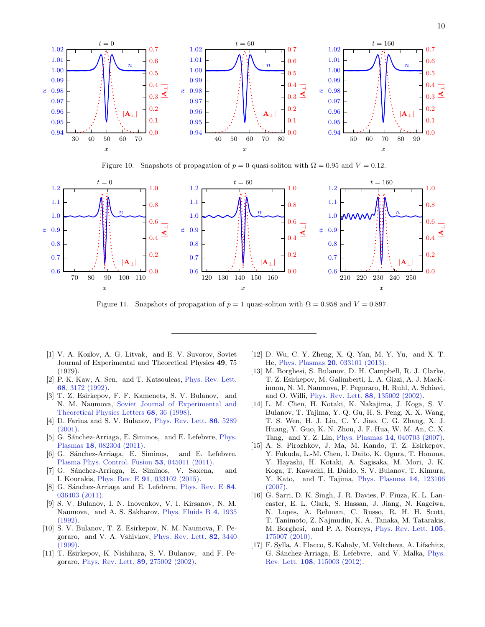

Figure 10. Snapshots of propagation of  $p = 0$  quasi-soliton with  $\Omega = 0.95$  and  $V = 0.12$ .



Figure 11. Snapshots of propagation of  $p = 1$  quasi-soliton with  $\Omega = 0.958$  and  $V = 0.897$ .

- [1] V. A. Kozlov, A. G. Litvak, and E. V. Suvorov, Soviet Journal of Experimental and Theoretical Physics 49, 75 (1979).
- [2] P. K. Kaw, A. Sen, and T. Katsouleas, [Phys. Rev. Lett.](http://dx.doi.org/10.1103/PhysRevLett.68.3172) 68[, 3172 \(1992\).](http://dx.doi.org/10.1103/PhysRevLett.68.3172)
- [3] T. Z. Esirkepov, F. F. Kamenets, S. V. Bulanov, and N. M. Naumova, [Soviet Journal of Experimental and](http://dx.doi.org/10.1134/1.567817) [Theoretical Physics Letters](http://dx.doi.org/10.1134/1.567817) 68, 36 (1998).
- [4] D. Farina and S. V. Bulanov, [Phys. Rev. Lett.](http://dx.doi.org/10.1103/PhysRevLett.86.5289) 86, 5289  $(2001)$ .
- [5] G. Sánchez-Arriaga, E. Siminos, and E. Lefebvre, *[Phys.](http://dx.doi.org/10.1063/1.3624498)* Plasmas 18[, 082304 \(2011\).](http://dx.doi.org/10.1063/1.3624498)
- [6] G. Sánchez-Arriaga, E. Siminos, and E. Lefebvre, [Plasma Phys. Control. Fusion](http://stacks.iop.org/0741-3335/53/i=4/a=045011) 53, 045011 (2011).
- [7] G. Sánchez-Arriaga, E. Siminos, V. Saxena, and I. Kourakis, Phys. Rev. E 91[, 033102 \(2015\).](http://dx.doi.org/10.1103/PhysRevE.91.033102)
- [8] G. Sánchez-Arriaga and E. Lefebvre, [Phys. Rev. E](http://dx.doi.org/ 10.1103/PhysRevE.84.036403) 84, [036403 \(2011\).](http://dx.doi.org/ 10.1103/PhysRevE.84.036403)
- [9] S. V. Bulanov, I. N. Inovenkov, V. I. Kirsanov, N. M. Naumova, and A. S. Sakharov, [Phys. Fluids B](http://dx.doi.org/10.1063/1.860046) 4, 1935 [\(1992\).](http://dx.doi.org/10.1063/1.860046)
- [10] S. V. Bulanov, T. Z. Esirkepov, N. M. Naumova, F. Pegoraro, and V. A. Vshivkov, [Phys. Rev. Lett.](http://dx.doi.org/10.1103/PhysRevLett.82.3440) 82, 3440 [\(1999\).](http://dx.doi.org/10.1103/PhysRevLett.82.3440)
- [11] T. Esirkepov, K. Nishihara, S. V. Bulanov, and F. Pegoraro, [Phys. Rev. Lett.](http://dx.doi.org/10.1103/PhysRevLett.89.275002) 89, 275002 (2002).
- [12] D. Wu, C. Y. Zheng, X. Q. Yan, M. Y. Yu, and X. T. He, Phys. Plasmas 20[, 033101 \(2013\).](http://dx.doi.org/ 10.1063/1.4794197)
- [13] M. Borghesi, S. Bulanov, D. H. Campbell, R. J. Clarke, T. Z. Esirkepov, M. Galimberti, L. A. Gizzi, A. J. MacKinnon, N. M. Naumova, F. Pegoraro, H. Ruhl, A. Schiavi, and O. Willi, [Phys. Rev. Lett.](http://dx.doi.org/10.1103/PhysRevLett.88.135002) 88, 135002 (2002).
- [14] L. M. Chen, H. Kotaki, K. Nakajima, J. Koga, S. V. Bulanov, T. Tajima, Y. Q. Gu, H. S. Peng, X. X. Wang, T. S. Wen, H. J. Liu, C. Y. Jiao, C. G. Zhang, X. J. Huang, Y. Guo, K. N. Zhou, J. F. Hua, W. M. An, C. X. Tang, and Y. Z. Lin, Phys. Plasmas 14[, 040703 \(2007\).](http://dx.doi.org/http://dx.doi.org/10.1063/1.2720374)
- [15] A. S. Pirozhkov, J. Ma, M. Kando, T. Z. Esirkepov, Y. Fukuda, L.-M. Chen, I. Daito, K. Ogura, T. Homma, Y. Hayashi, H. Kotaki, A. Sagisaka, M. Mori, J. K. Koga, T. Kawachi, H. Daido, S. V. Bulanov, T. Kimura, Y. Kato, and T. Tajima, [Phys. Plasmas](http://dx.doi.org/ http://dx.doi.org/10.1063/1.2816443) 14, 123106 [\(2007\).](http://dx.doi.org/ http://dx.doi.org/10.1063/1.2816443)
- [16] G. Sarri, D. K. Singh, J. R. Davies, F. Fiuza, K. L. Lancaster, E. L. Clark, S. Hassan, J. Jiang, N. Kageiwa, N. Lopes, A. Rehman, C. Russo, R. H. H. Scott, T. Tanimoto, Z. Najmudin, K. A. Tanaka, M. Tatarakis, M. Borghesi, and P. A. Norreys, [Phys. Rev. Lett.](http://dx.doi.org/ 10.1103/PhysRevLett.105.175007) 105, [175007 \(2010\).](http://dx.doi.org/ 10.1103/PhysRevLett.105.175007)
- [17] F. Sylla, A. Flacco, S. Kahaly, M. Veltcheva, A. Lifschitz, G. Sánchez-Arriaga, E. Lefebvre, and V. Malka, [Phys.](http://dx.doi.org/ 10.1103/PhysRevLett.108.115003) Rev. Lett. 108[, 115003 \(2012\).](http://dx.doi.org/ 10.1103/PhysRevLett.108.115003)